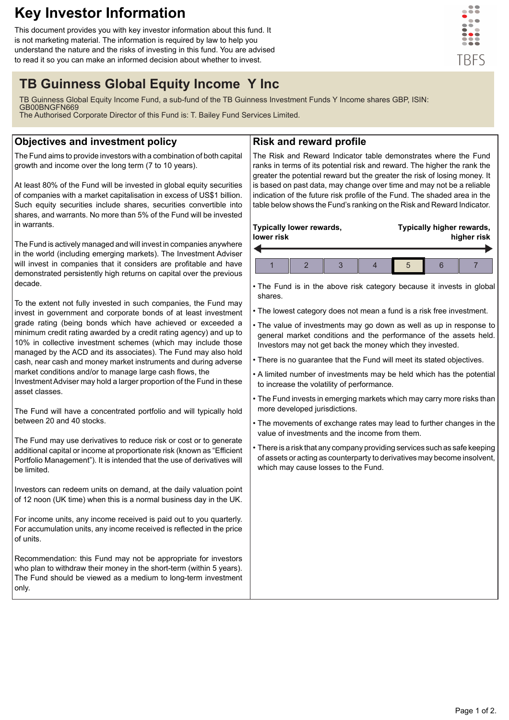# **Key Investor Information**

This document provides you with key investor information about this fund. It is not marketing material. The information is required by law to help you understand the nature and the risks of investing in this fund. You are advised to read it so you can make an informed decision about whether to invest.



## **TB Guinness Global Equity Income Y Inc**

TB Guinness Global Equity Income Fund, a sub-fund of the TB Guinness Investment Funds Y Income shares GBP, ISIN: GB00BNGFN669

The Authorised Corporate Director of this Fund is: T. Bailey Fund Services Limited.

## **Objectives and investment policy**

The Fund aims to provide investors with a combination of both capital growth and income over the long term (7 to 10 years).

At least 80% of the Fund will be invested in global equity securities of companies with a market capitalisation in excess of US\$1 billion. Such equity securities include shares, securities convertible into shares, and warrants. No more than 5% of the Fund will be invested in warrants.

The Fund is actively managed and will invest in companies anywhere in the world (including emerging markets). The Investment Adviser will invest in companies that it considers are profitable and have demonstrated persistently high returns on capital over the previous decade.

To the extent not fully invested in such companies, the Fund may invest in government and corporate bonds of at least investment grade rating (being bonds which have achieved or exceeded a minimum credit rating awarded by a credit rating agency) and up to 10% in collective investment schemes (which may include those managed by the ACD and its associates). The Fund may also hold cash, near cash and money market instruments and during adverse market conditions and/or to manage large cash flows, the

Investment Adviser may hold a larger proportion of the Fund in these asset classes.

The Fund will have a concentrated portfolio and will typically hold between 20 and 40 stocks.

The Fund may use derivatives to reduce risk or cost or to generate additional capital or income at proportionate risk (known as "Efficient Portfolio Management"). It is intended that the use of derivatives will be limited.

Investors can redeem units on demand, at the daily valuation point of 12 noon (UK time) when this is a normal business day in the UK.

For income units, any income received is paid out to you quarterly. For accumulation units, any income received is reflected in the price of units.

Recommendation: this Fund may not be appropriate for investors who plan to withdraw their money in the short-term (within 5 years). The Fund should be viewed as a medium to long-term investment only.

## **Risk and reward profile**

The Risk and Reward Indicator table demonstrates where the Fund ranks in terms of its potential risk and reward. The higher the rank the greater the potential reward but the greater the risk of losing money. It is based on past data, may change over time and may not be a reliable indication of the future risk profile of the Fund. The shaded area in the table below shows the Fund's ranking on the Risk and Reward Indicator.

#### **Typically lower rewards, lower risk Typically higher rewards, higher risk** 1 2 3 4 5 6 7

- The Fund is in the above risk category because it invests in global shares.
- The lowest category does not mean a fund is a risk free investment.
- The value of investments may go down as well as up in response to general market conditions and the performance of the assets held. Investors may not get back the money which they invested.
- There is no guarantee that the Fund will meet its stated objectives.
- A limited number of investments may be held which has the potential to increase the volatility of performance.
- The Fund invests in emerging markets which may carry more risks than more developed jurisdictions.
- The movements of exchange rates may lead to further changes in the value of investments and the income from them.
- There is a risk that any company providing services such as safe keeping of assets or acting as counterparty to derivatives may become insolvent, which may cause losses to the Fund.